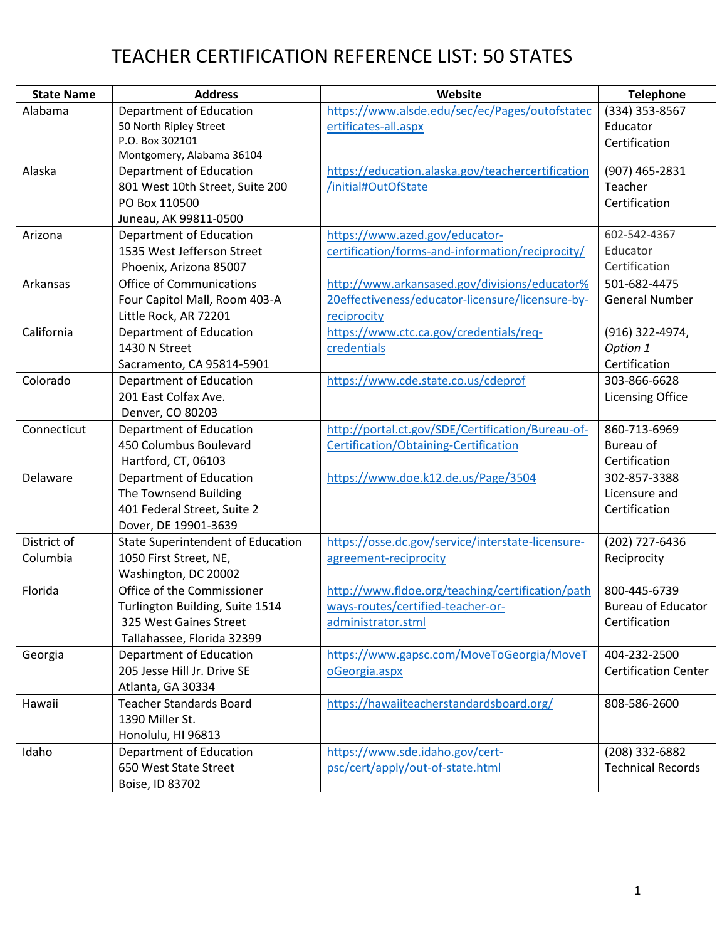| <b>State Name</b> | <b>Address</b>                           | Website                                           | <b>Telephone</b>            |
|-------------------|------------------------------------------|---------------------------------------------------|-----------------------------|
| Alabama           | Department of Education                  | https://www.alsde.edu/sec/ec/Pages/outofstatec    | (334) 353-8567              |
|                   | 50 North Ripley Street                   | ertificates-all.aspx                              | Educator                    |
|                   | P.O. Box 302101                          |                                                   | Certification               |
|                   | Montgomery, Alabama 36104                |                                                   |                             |
| Alaska            | Department of Education                  | https://education.alaska.gov/teachercertification | (907) 465-2831              |
|                   | 801 West 10th Street, Suite 200          | /initial#OutOfState                               | Teacher                     |
|                   | PO Box 110500                            |                                                   | Certification               |
|                   | Juneau, AK 99811-0500                    |                                                   |                             |
| Arizona           | Department of Education                  | https://www.azed.gov/educator-                    | 602-542-4367                |
|                   | 1535 West Jefferson Street               | certification/forms-and-information/reciprocity/  | Educator                    |
|                   | Phoenix, Arizona 85007                   |                                                   | Certification               |
| Arkansas          | <b>Office of Communications</b>          | http://www.arkansased.gov/divisions/educator%     | 501-682-4475                |
|                   | Four Capitol Mall, Room 403-A            | 20effectiveness/educator-licensure/licensure-by-  | <b>General Number</b>       |
|                   | Little Rock, AR 72201                    | reciprocity                                       |                             |
| California        | Department of Education                  | https://www.ctc.ca.gov/credentials/req-           | (916) 322-4974,             |
|                   | 1430 N Street                            | credentials                                       | Option 1                    |
|                   | Sacramento, CA 95814-5901                |                                                   | Certification               |
| Colorado          | Department of Education                  | https://www.cde.state.co.us/cdeprof               | 303-866-6628                |
|                   | 201 East Colfax Ave.                     |                                                   | <b>Licensing Office</b>     |
|                   | Denver, CO 80203                         |                                                   |                             |
| Connecticut       | Department of Education                  | http://portal.ct.gov/SDE/Certification/Bureau-of- | 860-713-6969                |
|                   | 450 Columbus Boulevard                   | Certification/Obtaining-Certification             | Bureau of                   |
|                   | Hartford, CT, 06103                      |                                                   | Certification               |
| Delaware          | Department of Education                  | https://www.doe.k12.de.us/Page/3504               | 302-857-3388                |
|                   | The Townsend Building                    |                                                   | Licensure and               |
|                   | 401 Federal Street, Suite 2              |                                                   | Certification               |
|                   | Dover, DE 19901-3639                     |                                                   |                             |
| District of       | <b>State Superintendent of Education</b> | https://osse.dc.gov/service/interstate-licensure- | (202) 727-6436              |
| Columbia          | 1050 First Street, NE,                   | agreement-reciprocity                             | Reciprocity                 |
|                   | Washington, DC 20002                     |                                                   |                             |
| Florida           | Office of the Commissioner               | http://www.fldoe.org/teaching/certification/path  | 800-445-6739                |
|                   | Turlington Building, Suite 1514          | ways-routes/certified-teacher-or-                 | <b>Bureau of Educator</b>   |
|                   | 325 West Gaines Street                   | administrator.stml                                | Certification               |
|                   | Tallahassee, Florida 32399               |                                                   |                             |
| Georgia           | Department of Education                  | https://www.gapsc.com/MoveToGeorgia/MoveT         | 404-232-2500                |
|                   | 205 Jesse Hill Jr. Drive SE              | oGeorgia.aspx                                     | <b>Certification Center</b> |
|                   | Atlanta, GA 30334                        |                                                   |                             |
| Hawaii            | <b>Teacher Standards Board</b>           | https://hawaiiteacherstandardsboard.org/          | 808-586-2600                |
|                   | 1390 Miller St.                          |                                                   |                             |
|                   | Honolulu, HI 96813                       |                                                   |                             |
| Idaho             | Department of Education                  | https://www.sde.idaho.gov/cert-                   | (208) 332-6882              |
|                   | 650 West State Street                    | psc/cert/apply/out-of-state.html                  | <b>Technical Records</b>    |
|                   | Boise, ID 83702                          |                                                   |                             |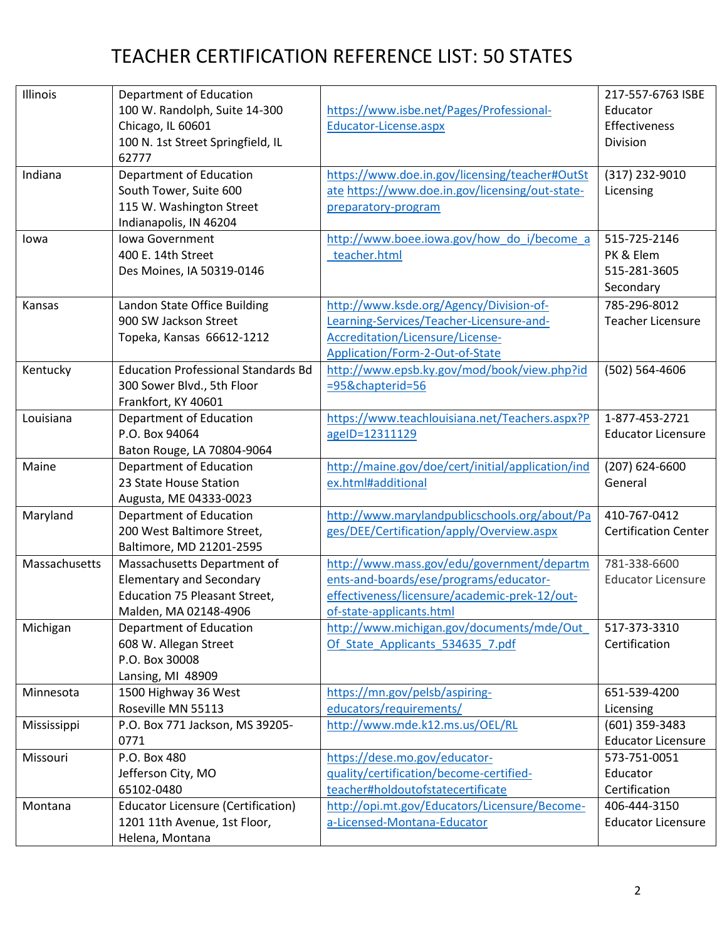| Illinois      | Department of Education                               |                                                                                                   | 217-557-6763 ISBE           |
|---------------|-------------------------------------------------------|---------------------------------------------------------------------------------------------------|-----------------------------|
|               | 100 W. Randolph, Suite 14-300                         | https://www.isbe.net/Pages/Professional-                                                          | Educator                    |
|               | Chicago, IL 60601                                     | Educator-License.aspx                                                                             | Effectiveness               |
|               | 100 N. 1st Street Springfield, IL                     |                                                                                                   | Division                    |
| Indiana       | 62777                                                 |                                                                                                   |                             |
|               | Department of Education<br>South Tower, Suite 600     | https://www.doe.in.gov/licensing/teacher#OutSt<br>ate https://www.doe.in.gov/licensing/out-state- | (317) 232-9010              |
|               | 115 W. Washington Street                              |                                                                                                   | Licensing                   |
|               | Indianapolis, IN 46204                                | preparatory-program                                                                               |                             |
| lowa          | Iowa Government                                       | http://www.boee.iowa.gov/how do i/become a                                                        | 515-725-2146                |
|               | 400 E. 14th Street                                    | teacher.html                                                                                      | PK & Elem                   |
|               | Des Moines, IA 50319-0146                             |                                                                                                   | 515-281-3605                |
|               |                                                       |                                                                                                   | Secondary                   |
|               |                                                       |                                                                                                   |                             |
| Kansas        | Landon State Office Building<br>900 SW Jackson Street | http://www.ksde.org/Agency/Division-of-                                                           | 785-296-8012                |
|               |                                                       | Learning-Services/Teacher-Licensure-and-                                                          | <b>Teacher Licensure</b>    |
|               | Topeka, Kansas 66612-1212                             | Accreditation/Licensure/License-<br>Application/Form-2-Out-of-State                               |                             |
| Kentucky      | <b>Education Professional Standards Bd</b>            | http://www.epsb.ky.gov/mod/book/view.php?id                                                       | (502) 564-4606              |
|               | 300 Sower Blvd., 5th Floor                            | =95&chapterid=56                                                                                  |                             |
|               | Frankfort, KY 40601                                   |                                                                                                   |                             |
| Louisiana     | Department of Education                               | https://www.teachlouisiana.net/Teachers.aspx?P                                                    | 1-877-453-2721              |
|               | P.O. Box 94064                                        | ageID=12311129                                                                                    | <b>Educator Licensure</b>   |
|               | Baton Rouge, LA 70804-9064                            |                                                                                                   |                             |
| Maine         | Department of Education                               | http://maine.gov/doe/cert/initial/application/ind                                                 | (207) 624-6600              |
|               | 23 State House Station                                | ex.html#additional                                                                                | General                     |
|               | Augusta, ME 04333-0023                                |                                                                                                   |                             |
| Maryland      | Department of Education                               | http://www.marylandpublicschools.org/about/Pa                                                     | 410-767-0412                |
|               | 200 West Baltimore Street,                            | ges/DEE/Certification/apply/Overview.aspx                                                         | <b>Certification Center</b> |
|               | Baltimore, MD 21201-2595                              |                                                                                                   |                             |
| Massachusetts | Massachusetts Department of                           | http://www.mass.gov/edu/government/departm                                                        | 781-338-6600                |
|               | <b>Elementary and Secondary</b>                       | ents-and-boards/ese/programs/educator-                                                            | <b>Educator Licensure</b>   |
|               | <b>Education 75 Pleasant Street,</b>                  | effectiveness/licensure/academic-prek-12/out-                                                     |                             |
|               | Malden, MA 02148-4906                                 | of-state-applicants.html                                                                          |                             |
| Michigan      | Department of Education                               | http://www.michigan.gov/documents/mde/Out                                                         | 517-373-3310                |
|               | 608 W. Allegan Street                                 | Of State Applicants 534635 7.pdf                                                                  | Certification               |
|               | P.O. Box 30008                                        |                                                                                                   |                             |
|               | Lansing, MI 48909                                     |                                                                                                   |                             |
| Minnesota     | 1500 Highway 36 West                                  | https://mn.gov/pelsb/aspiring-                                                                    | 651-539-4200                |
|               | Roseville MN 55113                                    | educators/requirements/                                                                           | Licensing                   |
| Mississippi   | P.O. Box 771 Jackson, MS 39205-                       | http://www.mde.k12.ms.us/OEL/RL                                                                   | (601) 359-3483              |
|               | 0771                                                  |                                                                                                   | <b>Educator Licensure</b>   |
| Missouri      | P.O. Box 480                                          | https://dese.mo.gov/educator-                                                                     | 573-751-0051                |
|               | Jefferson City, MO                                    | quality/certification/become-certified-                                                           | Educator                    |
|               | 65102-0480                                            | teacher#holdoutofstatecertificate                                                                 | Certification               |
| Montana       | <b>Educator Licensure (Certification)</b>             | http://opi.mt.gov/Educators/Licensure/Become-                                                     | 406-444-3150                |
|               | 1201 11th Avenue, 1st Floor,                          | a-Licensed-Montana-Educator                                                                       | <b>Educator Licensure</b>   |
|               | Helena, Montana                                       |                                                                                                   |                             |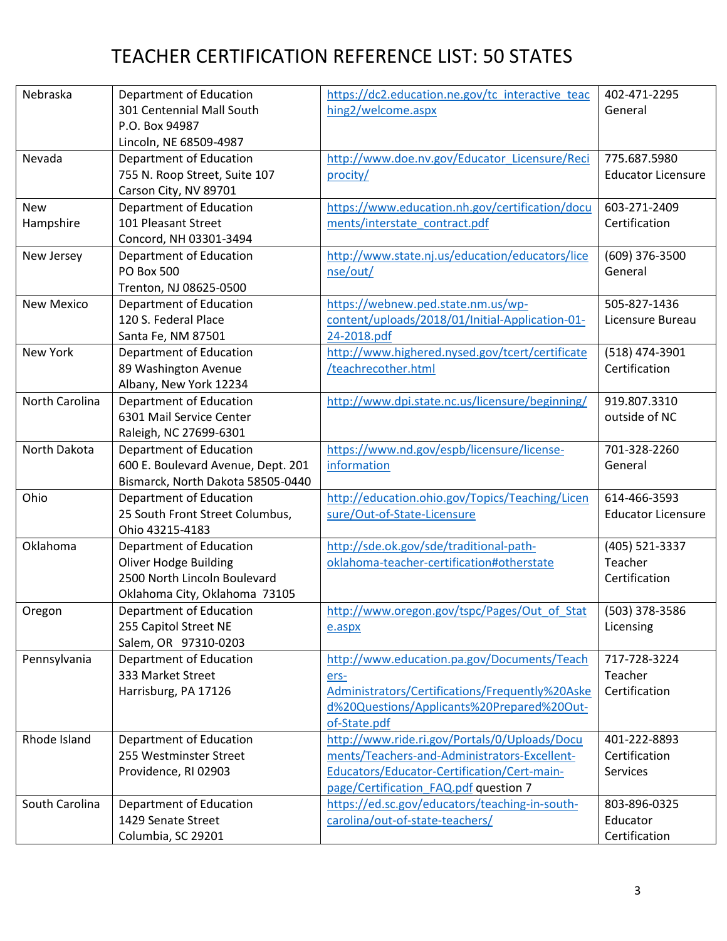| Nebraska          | Department of Education            | https://dc2.education.ne.gov/tc interactive teac | 402-471-2295              |
|-------------------|------------------------------------|--------------------------------------------------|---------------------------|
|                   | 301 Centennial Mall South          | hing2/welcome.aspx                               | General                   |
|                   | P.O. Box 94987                     |                                                  |                           |
|                   | Lincoln, NE 68509-4987             |                                                  |                           |
| Nevada            | Department of Education            | http://www.doe.nv.gov/Educator_Licensure/Reci    | 775.687.5980              |
|                   | 755 N. Roop Street, Suite 107      | procity/                                         | <b>Educator Licensure</b> |
|                   | Carson City, NV 89701              |                                                  |                           |
| <b>New</b>        | Department of Education            | https://www.education.nh.gov/certification/docu  | 603-271-2409              |
| Hampshire         | 101 Pleasant Street                | ments/interstate_contract.pdf                    | Certification             |
|                   | Concord, NH 03301-3494             |                                                  |                           |
| New Jersey        | Department of Education            | http://www.state.nj.us/education/educators/lice  | (609) 376-3500            |
|                   | <b>PO Box 500</b>                  | nse/out/                                         | General                   |
|                   | Trenton, NJ 08625-0500             |                                                  |                           |
| <b>New Mexico</b> | Department of Education            | https://webnew.ped.state.nm.us/wp-               | 505-827-1436              |
|                   | 120 S. Federal Place               | content/uploads/2018/01/Initial-Application-01-  | Licensure Bureau          |
|                   | Santa Fe, NM 87501                 | 24-2018.pdf                                      |                           |
| <b>New York</b>   | Department of Education            | http://www.highered.nysed.gov/tcert/certificate  | (518) 474-3901            |
|                   | 89 Washington Avenue               | /teachrecother.html                              | Certification             |
|                   | Albany, New York 12234             |                                                  |                           |
| North Carolina    | Department of Education            | http://www.dpi.state.nc.us/licensure/beginning/  | 919.807.3310              |
|                   | 6301 Mail Service Center           |                                                  | outside of NC             |
|                   | Raleigh, NC 27699-6301             |                                                  |                           |
| North Dakota      | Department of Education            | https://www.nd.gov/espb/licensure/license-       | 701-328-2260              |
|                   | 600 E. Boulevard Avenue, Dept. 201 | information                                      | General                   |
|                   | Bismarck, North Dakota 58505-0440  |                                                  |                           |
| Ohio              | Department of Education            | http://education.ohio.gov/Topics/Teaching/Licen  | 614-466-3593              |
|                   | 25 South Front Street Columbus,    | sure/Out-of-State-Licensure                      | <b>Educator Licensure</b> |
|                   | Ohio 43215-4183                    |                                                  |                           |
| Oklahoma          | Department of Education            | http://sde.ok.gov/sde/traditional-path-          | (405) 521-3337            |
|                   | <b>Oliver Hodge Building</b>       | oklahoma-teacher-certification#otherstate        | Teacher                   |
|                   | 2500 North Lincoln Boulevard       |                                                  | Certification             |
|                   | Oklahoma City, Oklahoma 73105      |                                                  |                           |
| Oregon            | Department of Education            | http://www.oregon.gov/tspc/Pages/Out of Stat     | (503) 378-3586            |
|                   | 255 Capitol Street NE              | e.aspx                                           | Licensing                 |
|                   | Salem, OR 97310-0203               |                                                  |                           |
| Pennsylvania      | Department of Education            | http://www.education.pa.gov/Documents/Teach      | 717-728-3224              |
|                   | 333 Market Street                  | ers-                                             | Teacher                   |
|                   | Harrisburg, PA 17126               | Administrators/Certifications/Frequently%20Aske  | Certification             |
|                   |                                    | d%20Questions/Applicants%20Prepared%20Out-       |                           |
|                   |                                    | of-State.pdf                                     |                           |
| Rhode Island      | Department of Education            | http://www.ride.ri.gov/Portals/0/Uploads/Docu    | 401-222-8893              |
|                   | 255 Westminster Street             | ments/Teachers-and-Administrators-Excellent-     | Certification             |
|                   | Providence, RI 02903               | Educators/Educator-Certification/Cert-main-      | Services                  |
|                   |                                    | page/Certification FAQ.pdf question 7            |                           |
| South Carolina    | Department of Education            | https://ed.sc.gov/educators/teaching-in-south-   | 803-896-0325              |
|                   | 1429 Senate Street                 | carolina/out-of-state-teachers/                  | Educator                  |
|                   | Columbia, SC 29201                 |                                                  | Certification             |